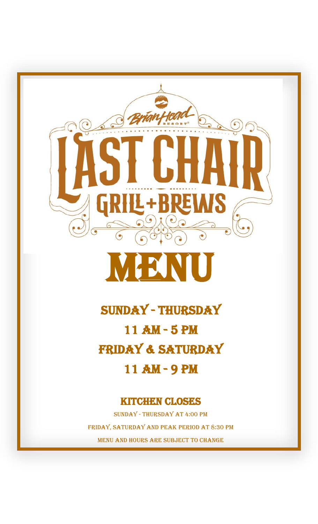

Sunday - Thursday 11 am - 5 pm FRIDAY & SATURDAY 11 AM - 9 PM

## Kitchen closes

Sunday - Thursday at 4:00 pm FRIDAY, SATURDAY AND PEAK PERIOD AT 8:30 PM Menu and hours are subject to change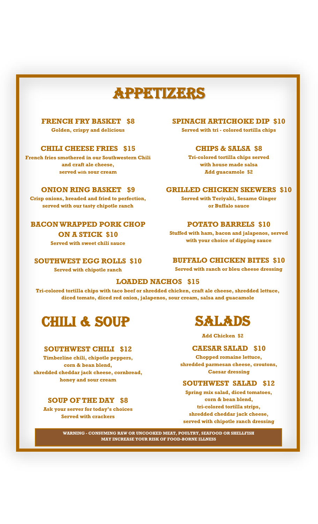# APPETIZERS

#### **FRENCH FRY BASKET \$8**

**Golden, crispy and delicious**

#### **CHILI CHEESE FRIES \$15**

**French fries smothered in our Southwestern Chili and craft ale cheese, served with sour cream**

#### **ONION RING BASKET \$9**

**Crisp onions, breaded and fried to perfection, served with our tasty chipotle ranch**

#### **BACON WRAPPED PORK CHOP**

**ON A STICK \$10 Served with sweet chili sauce**

**SOUTHWEST EGG ROLLS \$10** 

**Served with chipotle ranch**

#### **SPINACH ARTICHOKE DIP \$10**

**Served with tri - colored tortilla chips**

#### **CHIPS & SALSA \$8**

**Tri-colored tortilla chips served with house made salsa Add guacamole \$2** 

#### **GRILLED CHICKEN SKEWERS \$10**

**Served with Teriyaki, Sesame Ginger or Buffalo sauce**

#### **POTATO BARRELS \$10**

**Stuffed with ham, bacon and jalapenos, served with your choice of dipping sauce**

#### **BUFFALO CHICKEN BITES \$10**

**Served with ranch or bleu cheese dressing**

#### **LOADED NACHOS \$15**

**Tri-colored tortilla chips with taco beef or shredded chicken, craft ale cheese, shredded lettuce, diced tomato, diced red onion, jalapenos, sour cream, salsa and guacamole**

## CHILI & Soup

#### **SOUTHWEST CHILI \$12**

**Timberline chili, chipotle peppers, corn & bean blend, shredded cheddar jack cheese, cornbread, honey and sour cream** 

#### **SOUP OF THE DAY \$8**

**Ask your server for today's choices Served with crackers** 



**Add Chicken \$2**

#### **CAESAR SALAD \$10**

**Chopped romaine lettuce, shredded parmesan cheese, croutons, Caesar dressing** 

#### **SOUTHWEST SALAD \$12**

**Spring mix salad, diced tomatoes, corn & bean blend, tri-colored tortilla strips, shredded cheddar jack cheese, served with chipotle ranch dressing** 

**WARNING - CONSUMING RAW OR UNCOOKED MEAT, POULTRY, SEAFOOD OR SHELLFISH MAY INCREASE YOUR RISK OF FOOD-BORNE ILLNESS**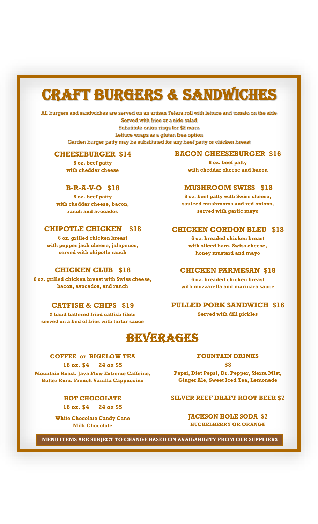# Craft Burgers & sandwiches

All burgers and sandwiches are served on an artisan Telera roll with lettuce and tomato on the side Served with fries or a side salad Substitute onion rings for \$2 more Lettuce wraps as a gluten free option Garden burger patty may be substituted for any beef patty or chicken breast

#### **CHEESEBURGER \$14**

**8 oz. beef patty with cheddar cheese**

#### **B-R-A-V-O \$18**

**8 oz. beef patty with cheddar cheese, bacon, ranch and avocados**

#### **CHIPOTLE CHICKEN \$18**

**6 oz. grilled chicken breast with pepper jack cheese, jalapenos, served with chipotle ranch**

#### **CHICKEN CLUB \$18**

**6 oz. grilled chicken breast with Swiss cheese, bacon, avocados, and ranch**

#### **CATFISH & CHIPS \$19**

**2 hand battered fried catfish filets served on a bed of fries with tartar sauce**

## BEVERAGES

#### **COFFEE or BIGELOW TEA**

**16 oz. \$4 24 oz \$5 Mountain Roast, Java Flow Extreme Caffeine, Butter Rum, French Vanilla Cappuccino**

> **HOT CHOCOLATE 16 oz. \$4 24 oz \$5**

**White Chocolate Candy Cane Milk Chocolate**

#### **BACON CHEESEBURGER \$16**

**8 oz. beef patty with cheddar cheese and bacon**

#### **MUSHROOM SWISS \$18**

**8 oz. beef patty with Swiss cheese, sauteed mushrooms and red onions, served with garlic mayo**

#### **CHICKEN CORDON BLEU \$18**

**6 oz. breaded chicken breast with sliced ham, Swiss cheese, honey mustard and mayo**

#### **CHICKEN PARMESAN \$18**

**6 oz. breaded chicken breast with mozzarella and marinara sauce**

#### **PULLED PORK SANDWICH \$16**

**Served with dill pickles**

#### **FOUNTAIN DRINKS**

**\$3** 

**Pepsi, Diet Pepsi, Dr. Pepper, Sierra Mist, Ginger Ale, Sweet Iced Tea, Lemonade**

#### **SILVER REEF DRAFT ROOT BEER \$7**

**JACKSON HOLE SODA \$7 HUCKELBERRY OR ORANGE**

**MENU ITEMS ARE SUBJECT TO CHANGE BASED ON AVAILABILITY FROM OUR SUPPLIERS**